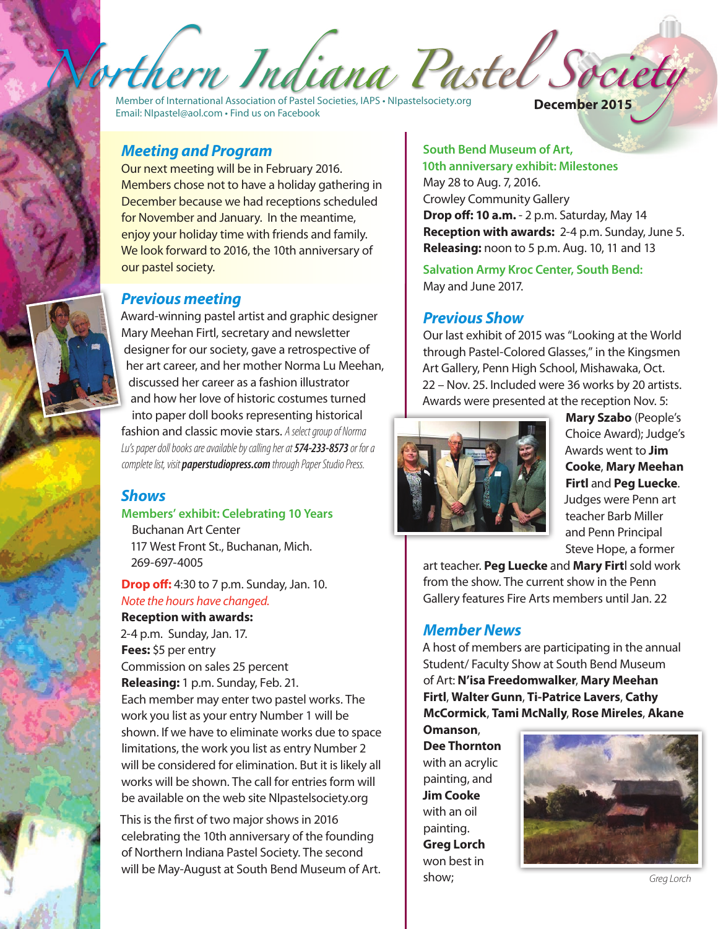Member of International Association of Pastel Societies, IAPS • <NIpastelsociety.org> Email: [NIpastel@aol.com](mailto:NIpastel@aol.com) • Find us on Facebook **December 2015**

#### *Meeting and Program*

Our next meeting will be in February 2016. Members chose not to have a holiday gathering in December because we had receptions scheduled for November and January. In the meantime, enjoy your holiday time with friends and family. We look forward to 2016, the 10th anniversary of our pastel society.

#### *Previous meeting*

Award-winning pastel artist and graphic designer Mary Meehan Firtl, secretary and newsletter designer for our society, gave a retrospective of her art career, and her mother Norma Lu Meehan, discussed her career as a fashion illustrator and how her love of historic costumes turned into paper doll books representing historical fashion and classic movie stars. *A select group of Norma Lu's paper doll books are available by calling her at 574-233-8573 or for a complete list, visit paperstudiopress.com through Paper Studio Press.*

#### *Shows*

#### **Members' exhibit: Celebrating 10 Years**

Buchanan Art Center 117 West Front St., Buchanan, Mich. 269-697-4005

**Drop off:** 4:30 to 7 p.m. Sunday, Jan. 10. *Note the hours have changed.*

#### **Reception with awards:**

2-4 p.m. Sunday, Jan. 17. **Fees:** \$5 per entry Commission on sales 25 percent **Releasing:** 1 p.m. Sunday, Feb. 21. Each member may enter two pastel works. The work you list as your entry Number 1 will be shown. If we have to eliminate works due to space limitations, the work you list as entry Number 2 will be considered for elimination. But it is likely all works will be shown. The call for entries form will be available on the web site NIpastelsociety.org

This is the first of two major shows in 2016 celebrating the 10th anniversary of the founding of Northern Indiana Pastel Society. The second will be May-August at South Bend Museum of Art.<br>show; Greg Lorch

#### **South Bend Museum of Art,**

**10th anniversary exhibit: Milestones** May 28 to Aug. 7, 2016. Crowley Community Gallery **Drop off: 10 a.m.** - 2 p.m. Saturday, May 14 **Reception with awards:** 2-4 p.m. Sunday, June 5. **Releasing:** noon to 5 p.m. Aug. 10, 11 and 13

**Salvation Army Kroc Center, South Bend:** May and June 2017.

#### *Previous Show*

Our last exhibit of 2015 was "Looking at the World through Pastel-Colored Glasses," in the Kingsmen Art Gallery, Penn High School, Mishawaka, Oct. 22 – Nov. 25. Included were 36 works by 20 artists. Awards were presented at the reception Nov. 5:



**Mary Szabo** (People's Choice Award); Judge's Awards went to **Jim Cooke**, **Mary Meehan Firtl** and **Peg Luecke**. Judges were Penn art teacher Barb Miller and Penn Principal Steve Hope, a former

art teacher. **Peg Luecke** and **Mary Firt**l sold work from the show. The current show in the Penn Gallery features Fire Arts members until Jan. 22

#### *Member News*

A host of members are participating in the annual Student/ Faculty Show at South Bend Museum of Art: **N'isa Freedomwalker**, **Mary Meehan Firtl**, **Walter Gunn**, **Ti-Patrice Lavers**, **Cathy McCormick**, **Tami McNally**, **Rose Mireles**, **Akane** 

**Omanson**, **Dee Thornton** with an acrylic painting, and **Jim Cooke** with an oil painting. **Greg Lorch**  won best in show;

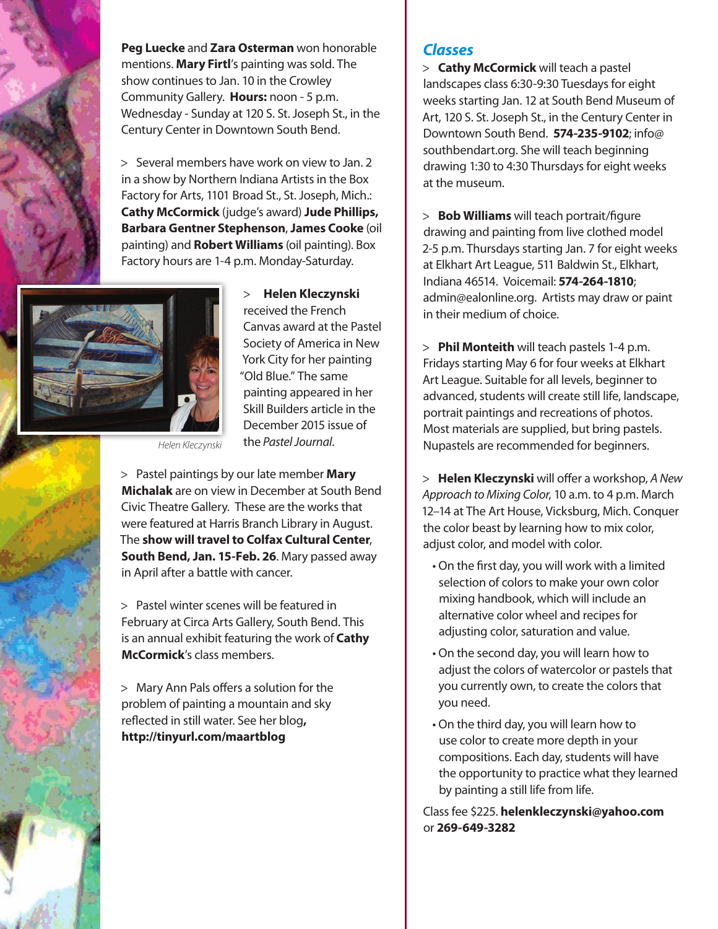

**Peg Luecke** and **Zara Osterman** won honorable mentions. **Mary Firtl**'s painting was sold. The show continues to Jan. 10 in the Crowley Community Gallery. **Hours:** noon - 5 p.m. Wednesday - Sunday at 120 S. St. Joseph St., in the Century Center in Downtown South Bend.

> Several members have work on view to Jan. 2 in a show by Northern Indiana Artists in the Box Factory for Arts, 1101 Broad St., St. Joseph, Mich.: **Cathy McCormick** (judge's award) **Jude Phillips, Barbara Gentner Stephenson**, **James Cooke** (oil painting) and **Robert Williams** (oil painting). Box Factory hours are 1-4 p.m. Monday-Saturday.



> **Helen Kleczynski**  received the French Canvas award at the Pastel Society of America in New York City for her painting "Old Blue." The same painting appeared in her Skill Builders article in the December 2015 issue of the *Pastel Journal*.

> Pastel paintings by our late member **Mary Michalak** are on view in December at South Bend Civic Theatre Gallery. These are the works that were featured at Harris Branch Library in August. The **show will travel to Colfax Cultural Center**, **South Bend, Jan. 15-Feb. 26**. Mary passed away in April after a battle with cancer.

*Helen Kleczynski*

> Pastel winter scenes will be featured in February at Circa Arts Gallery, South Bend. This is an annual exhibit featuring the work of **Cathy McCormick**'s class members.

> Mary Ann Pals offers a solution for the problem of painting a mountain and sky reflected in still water. See her blog**, http://tinyurl.com/maartblog**

### *Classes*

> **Cathy McCormick** will teach a pastel landscapes class 6:30-9:30 Tuesdays for eight weeks starting Jan. 12 at South Bend Museum of Art, 120 S. St. Joseph St., in the Century Center in Downtown South Bend. **574-235-9102**; info@ southbendart.org. She will teach beginning drawing 1:30 to 4:30 Thursdays for eight weeks at the museum.

> **Bob Williams** will teach portrait/figure drawing and painting from live clothed model 2-5 p.m. Thursdays starting Jan. 7 for eight weeks at Elkhart Art League, 511 Baldwin St., Elkhart, Indiana 46514. Voicemail: **574-264-1810**; admin@ealonline.org. Artists may draw or paint in their medium of choice.

> **Phil Monteith** will teach pastels 1-4 p.m. Fridays starting May 6 for four weeks at Elkhart Art League. Suitable for all levels, beginner to advanced, students will create still life, landscape, portrait paintings and recreations of photos. Most materials are supplied, but bring pastels. Nupastels are recommended for beginners.

> **Helen Kleczynski** will offer a workshop, *A New Approach to Mixing Color*, 10 a.m. to 4 p.m. March 12–14 at The Art House, Vicksburg, Mich. Conquer the color beast by learning how to mix color, adjust color, and model with color.

- On the first day, you will work with a limited selection of colors to make your own color mixing handbook, which will include an alternative color wheel and recipes for adjusting color, saturation and value.
- On the second day, you will learn how to adjust the colors of watercolor or pastels that you currently own, to create the colors that you need.
- On the third day, you will learn how to use color to create more depth in your compositions. Each day, students will have the opportunity to practice what they learned by painting a still life from life.

Class fee \$225. **helenkleczynski@yahoo.com** or **269-649-3282**